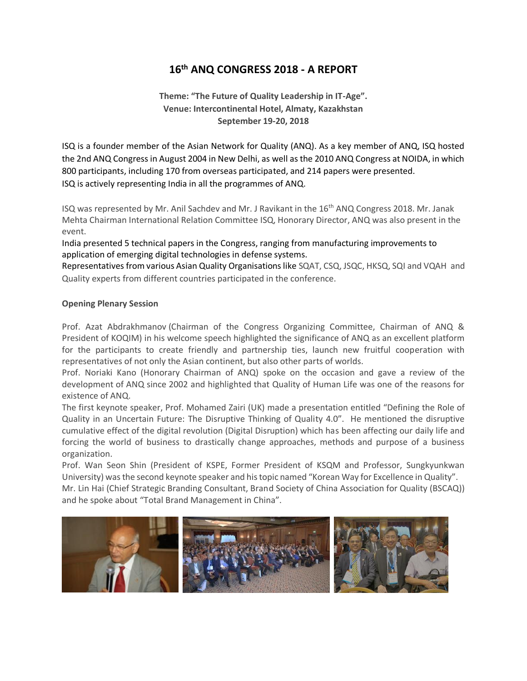## **16th ANQ CONGRESS 2018 - A REPORT**

**Theme: "The Future of Quality Leadership in IT-Age". Venue: Intercontinental Hotel, Almaty, Kazakhstan September 19-20, 2018**

ISQ is a founder member of the Asian Network for Quality (ANQ). As a key member of ANQ, ISQ hosted the 2nd ANQ Congress in August 2004 in New Delhi, as well as the 2010 ANQ Congress at NOIDA, in which 800 participants, including 170 from overseas participated, and 214 papers were presented. ISQ is actively representing India in all the programmes of ANQ.

ISQ was represented by Mr. Anil Sachdev and Mr. J Ravikant in the 16th ANQ Congress 2018. Mr. Janak Mehta Chairman International Relation Committee ISQ, Honorary Director, ANQ was also present in the event.

India presented 5 technical papers in the Congress, ranging from manufacturing improvements to application of emerging digital technologies in defense systems.

Representatives from various Asian Quality Organisations like SQAT, CSQ, JSQC, HKSQ, SQI and VQAH and Quality experts from different countries participated in the conference.

## **Opening Plenary Session**

Prof. Azat Abdrakhmanov (Chairman of the Congress Organizing Committee, Chairman of ANQ & President of KOQIM) in his welcome speech highlighted the significance of ANQ as an excellent platform for the participants to create friendly and partnership ties, launch new fruitful cooperation with representatives of not only the Asian continent, but also other parts of worlds.

Prof. Noriaki Kano (Honorary Chairman of ANQ) spoke on the occasion and gave a review of the development of ANQ since 2002 and highlighted that Quality of Human Life was one of the reasons for existence of ANQ.

The first keynote speaker, Prof. Mohamed Zairi (UK) made a presentation entitled "Defining the Role of Quality in an Uncertain Future: The Disruptive Thinking of Quality 4.0". He mentioned the disruptive cumulative effect of the digital revolution (Digital Disruption) which has been affecting our daily life and forcing the world of business to drastically change approaches, methods and purpose of a business organization.

Prof. Wan Seon Shin (President of KSPE, Former President of KSQM and Professor, Sungkyunkwan University) was the second keynote speaker and his topic named "Korean Way for Excellence in Quality".

Mr. Lin Hai (Chief Strategic Branding Consultant, Brand Society of China Association for Quality (BSCAQ)) and he spoke about "Total Brand Management in China".

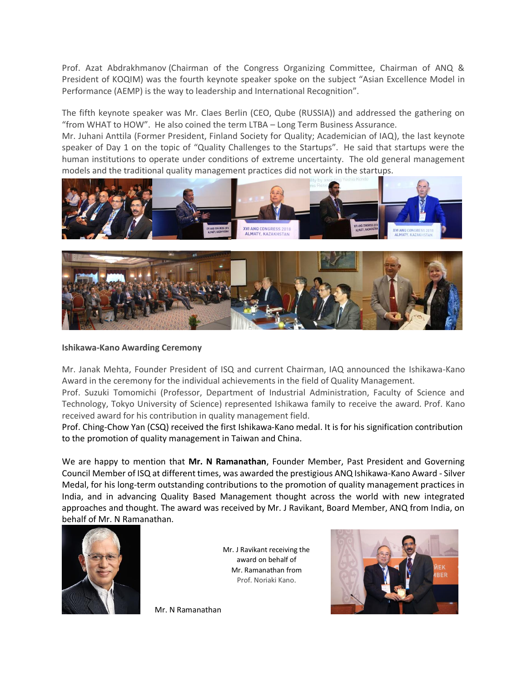Prof. Azat Abdrakhmanov (Chairman of the Congress Organizing Committee, Chairman of ANQ & President of KOQIM) was the fourth keynote speaker spoke on the subject "Asian Excellence Model in Performance (AEMP) is the way to leadership and International Recognition".

The fifth keynote speaker was Mr. Claes Berlin (CEO, Qube (RUSSIA)) and addressed the gathering on "from WHAT to HOW". He also coined the term LTBA – Long Term Business Assurance.

Mr. Juhani Anttila (Former President, Finland Society for Quality; Academician of IAQ), the last keynote speaker of Day 1 on the topic of "Quality Challenges to the Startups". He said that startups were the human institutions to operate under conditions of extreme uncertainty. The old general management models and the traditional quality management practices did not work in the startups.





## **Ishikawa-Kano Awarding Ceremony**

Mr. Janak Mehta, Founder President of ISQ and current Chairman, IAQ announced the Ishikawa-Kano Award in the ceremony for the individual achievements in the field of Quality Management.

Prof. Suzuki Tomomichi (Professor, Department of Industrial Administration, Faculty of Science and Technology, Tokyo University of Science) represented Ishikawa family to receive the award. Prof. Kano received award for his contribution in quality management field.

Prof. Ching-Chow Yan (CSQ) received the first Ishikawa-Kano medal. It is for his signification contribution to the promotion of quality management in Taiwan and China.

We are happy to mention that **Mr. N Ramanathan**, Founder Member, Past President and Governing Council Member of ISQ at different times, was awarded the prestigious ANQ Ishikawa-Kano Award - Silver Medal, for his long-term outstanding contributions to the promotion of quality management practices in India, and in advancing Quality Based Management thought across the world with new integrated approaches and thought. The award was received by Mr. J Ravikant, Board Member, ANQ from India, on behalf of Mr. N Ramanathan.



Mr. J Ravikant receiving the award on behalf of Mr. Ramanathan from Prof. Noriaki Kano.



Mr. N Ramanathan